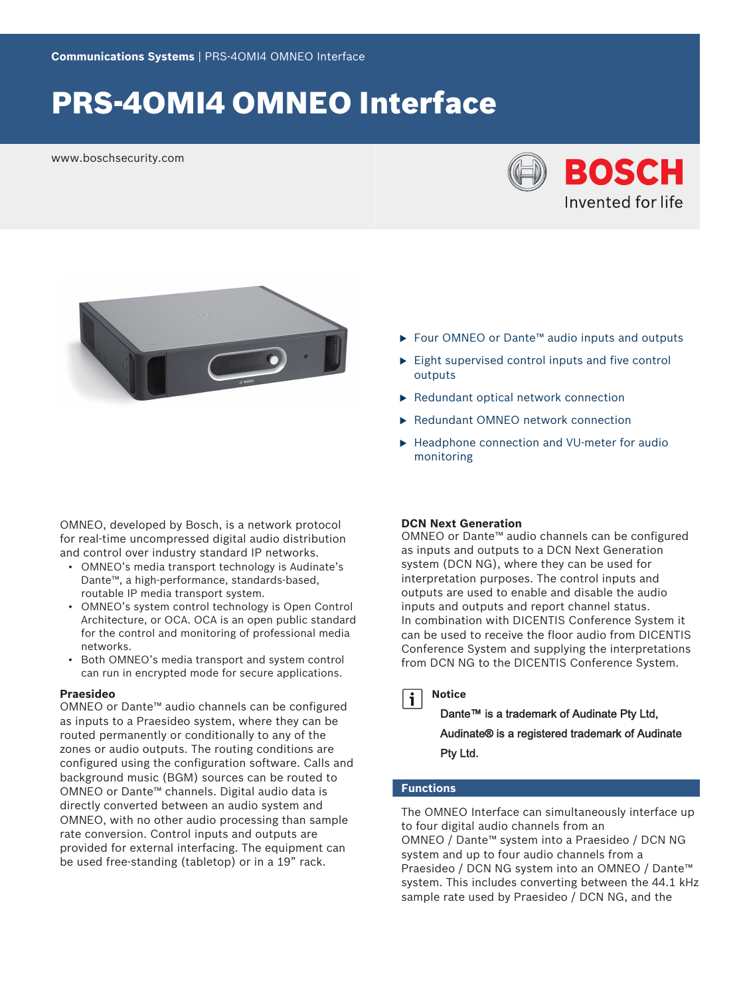# PRS-4OMI4 OMNEO Interface

www.boschsecurity.com





OMNEO, developed by Bosch, is a network protocol for real-time uncompressed digital audio distribution and control over industry standard IP networks.

- OMNEO's media transport technology is Audinate's Dante™, a high-performance, standards‑based, routable IP media transport system.
- OMNEO's system control technology is Open Control Architecture, or OCA. OCA is an open public standard for the control and monitoring of professional media networks.
- Both OMNEO's media transport and system control can run in encrypted mode for secure applications.

#### **Praesideo**

OMNEO or Dante™ audio channels can be configured as inputs to a Praesideo system, where they can be routed permanently or conditionally to any of the zones or audio outputs. The routing conditions are configured using the configuration software. Calls and background music (BGM) sources can be routed to OMNEO or Dante™ channels. Digital audio data is directly converted between an audio system and OMNEO, with no other audio processing than sample rate conversion. Control inputs and outputs are provided for external interfacing. The equipment can be used free-standing (tabletop) or in a 19" rack.

- ► Four OMNEO or Dante<sup>™</sup> audio inputs and outputs
- $\blacktriangleright$  Eight supervised control inputs and five control outputs
- $\blacktriangleright$  Redundant optical network connection
- ▶ Redundant OMNEO network connection
- ▶ Headphone connection and VU-meter for audio monitoring

# **DCN Next Generation**

OMNEO or Dante™ audio channels can be configured as inputs and outputs to a DCN Next Generation system (DCN NG), where they can be used for interpretation purposes. The control inputs and outputs are used to enable and disable the audio inputs and outputs and report channel status. In combination with DICENTIS Conference System it can be used to receive the floor audio from DICENTIS Conference System and supplying the interpretations from DCN NG to the DICENTIS Conference System.

#### **Notice**  $\mathbf i$

# Dante™ is a trademark of Audinate Pty Ltd,

Audinate® is a registered trademark of Audinate Pty Ltd.

#### **Functions**

The OMNEO Interface can simultaneously interface up to four digital audio channels from an OMNEO / Dante™ system into a Praesideo / DCN NG system and up to four audio channels from a Praesideo / DCN NG system into an OMNEO / Dante™ system. This includes converting between the 44.1 kHz sample rate used by Praesideo / DCN NG, and the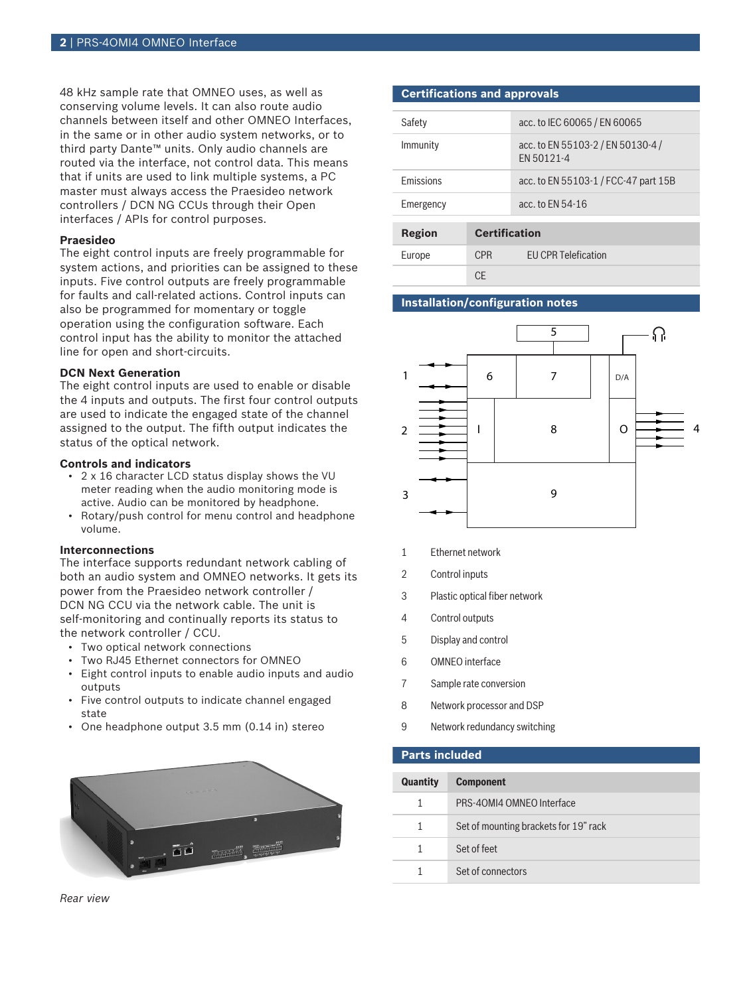48 kHz sample rate that OMNEO uses, as well as conserving volume levels. It can also route audio channels between itself and other OMNEO Interfaces, in the same or in other audio system networks, or to third party Dante™ units. Only audio channels are routed via the interface, not control data. This means that if units are used to link multiple systems, a PC master must always access the Praesideo network controllers / DCN NG CCUs through their Open interfaces / APIs for control purposes.

#### **Praesideo**

The eight control inputs are freely programmable for system actions, and priorities can be assigned to these inputs. Five control outputs are freely programmable for faults and call-related actions. Control inputs can also be programmed for momentary or toggle operation using the configuration software. Each control input has the ability to monitor the attached line for open and short-circuits.

#### **DCN Next Generation**

The eight control inputs are used to enable or disable the 4 inputs and outputs. The first four control outputs are used to indicate the engaged state of the channel assigned to the output. The fifth output indicates the status of the optical network.

#### **Controls and indicators**

- 2 x 16 character LCD status display shows the VU meter reading when the audio monitoring mode is active. Audio can be monitored by headphone.
- Rotary/push control for menu control and headphone volume.

#### **Interconnections**

The interface supports redundant network cabling of both an audio system and OMNEO networks. It gets its power from the Praesideo network controller / DCN NG CCU via the network cable. The unit is self-monitoring and continually reports its status to the network controller / CCU.

- Two optical network connections
- Two RJ45 Ethernet connectors for OMNEO
- Eight control inputs to enable audio inputs and audio outputs
- Five control outputs to indicate channel engaged state
- One headphone output 3.5 mm (0.14 in) stereo



#### **Certifications and approvals**

| Safety           |                      | acc. to IEC 60065 / EN 60065                    |  |  |
|------------------|----------------------|-------------------------------------------------|--|--|
| Immunity         |                      | acc. to EN 55103-2 / EN 50130-4 /<br>FN 50121-4 |  |  |
| <b>Emissions</b> |                      | acc. to EN 55103-1 / FCC-47 part 15B            |  |  |
| Emergency        |                      | acc. to FN 54-16                                |  |  |
|                  |                      |                                                 |  |  |
| <b>Region</b>    | <b>Certification</b> |                                                 |  |  |
| Europe           | <b>CPR</b>           | <b>FU CPR Telefication</b>                      |  |  |
|                  | СE                   |                                                 |  |  |

# **Installation/configuration notes**



- 1 Ethernet network
- 2 Control inputs
- 3 Plastic optical fiber network
- 4 Control outputs
- 5 Display and control
- 6 OMNEO interface
- 7 Sample rate conversion
- 8 Network processor and DSP
- 9 Network redundancy switching

#### **Parts included**

| <b>Quantity</b> | <b>Component</b>                      |
|-----------------|---------------------------------------|
| 1               | PRS-40MI4 OMNEO Interface             |
| 1               | Set of mounting brackets for 19" rack |
| 1               | Set of feet                           |
| 1               | Set of connectors                     |
|                 |                                       |

*Rear view*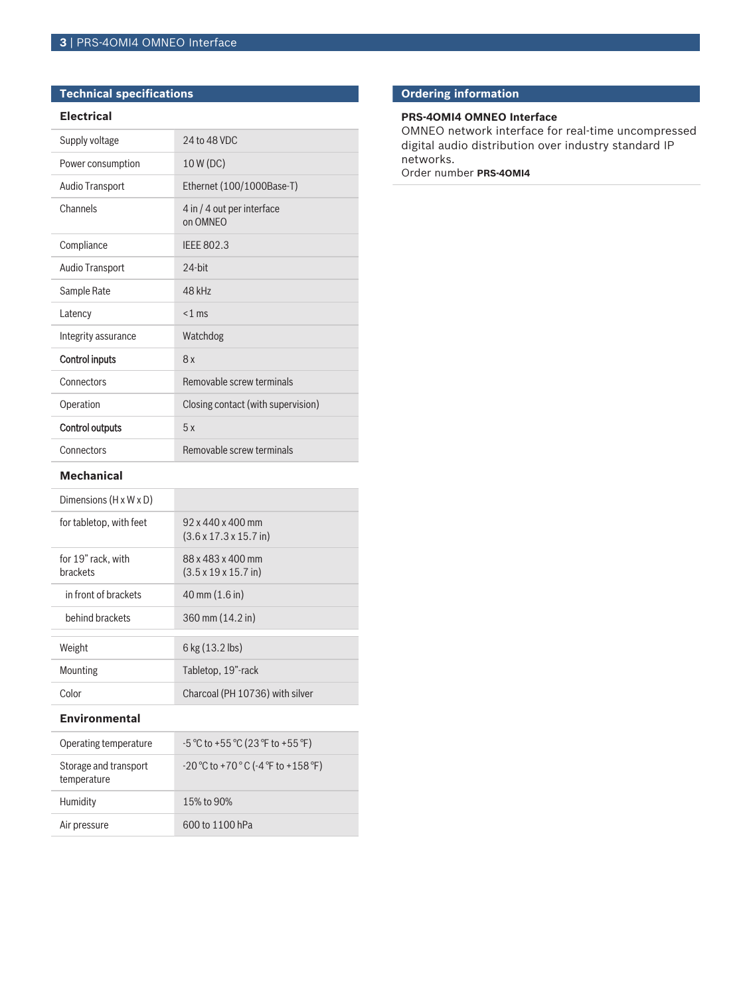# **Technical specifications**

### **Electrical**

| Supply voltage         | 24 to 48 VDC                           |
|------------------------|----------------------------------------|
| Power consumption      | 10 W (DC)                              |
| Audio Transport        | Ethernet (100/1000Base-T)              |
| Channels               | 4 in / 4 out per interface<br>on OMNEO |
| Compliance             | <b>IEEE 802.3</b>                      |
| <b>Audio Transport</b> | $24$ -bit                              |
| Sample Rate            | 48 kHz                                 |
| Latency                | $<$ 1 ms                               |
| Integrity assurance    | Watchdog                               |
| <b>Control inputs</b>  | 8x                                     |
| Connectors             | Removable screw terminals              |
| Operation              | Closing contact (with supervision)     |
| <b>Control outputs</b> | 5x                                     |
| Connectors             | Removable screw terminals              |

### **Mechanical**

| Dimensions $(H \times W \times D)$    |                                                                      |
|---------------------------------------|----------------------------------------------------------------------|
| for tabletop, with feet               | $92 \times 440 \times 400$ mm<br>$(3.6 \times 17.3 \times 15.7)$ in) |
| for 19" rack, with<br><b>brackets</b> | 88 x 483 x 400 mm<br>$(3.5 \times 19 \times 15.7)$ in)               |
| in front of brackets                  | $40 \text{ mm} (1.6 \text{ in})$                                     |
| behind brackets                       | 360 mm (14.2 in)                                                     |
| Weight                                | $6$ kg $(13.2$ lbs)                                                  |
| <b>Mounting</b>                       | Tabletop, 19"-rack                                                   |
| Color                                 | Charcoal (PH 10736) with silver                                      |

#### **Environmental**

| Operating temperature                | $-5$ °C to +55 °C (23 °F to +55 °F)                                    |
|--------------------------------------|------------------------------------------------------------------------|
| Storage and transport<br>temperature | $-20\degree$ C to +70 $\degree$ C (-4 $\degree$ F to +158 $\degree$ F) |
| Humidity                             | 15% to 90%                                                             |
| Air pressure                         | 600 to 1100 hPa                                                        |

# **Ordering information**

# **PRS-4OMI4 OMNEO Interface**

OMNEO network interface for real-time uncompressed digital audio distribution over industry standard IP networks.

Order number **PRS-4OMI4**